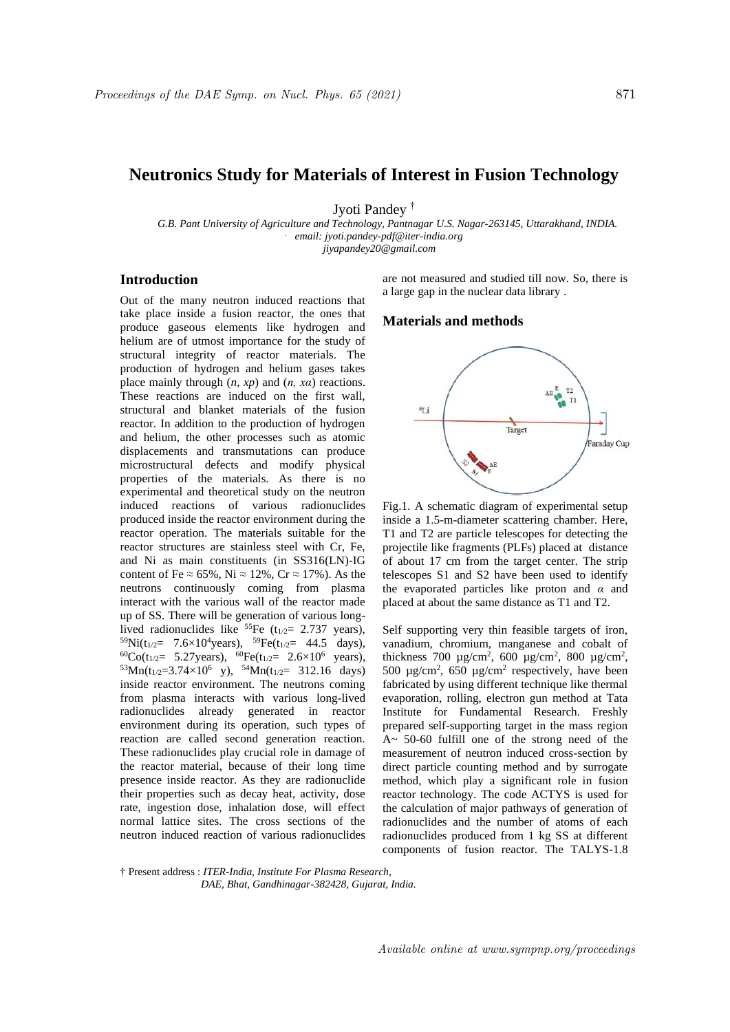# **Neutronics Study for Materials of Interest in Fusion Technology**

Jyoti Pandey †

 *G.B. Pant University of Agriculture and Technology, Pantnagar U.S. Nagar-263145, Uttarakhand, INDIA. . email: jyoti.pandey-pdf@iter-india.org jiyapandey20@gmail.com*

# **Introduction**

Out of the many neutron induced reactions that take place inside a fusion reactor, the ones that produce gaseous elements like hydrogen and helium are of utmost importance for the study of structural integrity of reactor materials. The production of hydrogen and helium gases takes place mainly through (*n, xp*) and (*n, xα*) reactions. These reactions are induced on the first wall, structural and blanket materials of the fusion reactor. In addition to the production of hydrogen and helium, the other processes such as atomic displacements and transmutations can produce microstructural defects and modify physical properties of the materials. As there is no experimental and theoretical study on the neutron induced reactions of various radionuclides produced inside the reactor environment during the reactor operation. The materials suitable for the reactor structures are stainless steel with Cr, Fe, and Ni as main constituents (in SS316(LN)-IG content of Fe  $\approx 65\%$ . Ni  $\approx 12\%$ . Cr  $\approx 17\%$ ). As the neutrons continuously coming from plasma interact with the various wall of the reactor made up of SS. There will be generation of various longlived radionuclides like  $^{55}Fe$  (t<sub>1/2</sub>= 2.737 years),  $^{59}\text{Ni}(t_{1/2} = 7.6 \times 10^4 \text{years})$ ,  $^{59}\text{Fe}(t_{1/2} = 44.5 \text{ days})$ ,  ${}^{60}Co(t_{1/2}= 5.27$ years),  ${}^{60}Fe(t_{1/2}= 2.6\times10^6$  years),  $53$ Mn(t<sub>1/2</sub>=3.74×10<sup>6</sup> y),  $54$ Mn(t<sub>1/2</sub>= 312.16 days) inside reactor environment. The neutrons coming from plasma interacts with various long-lived radionuclides already generated in reactor environment during its operation, such types of reaction are called second generation reaction. These radionuclides play crucial role in damage of the reactor material, because of their long time presence inside reactor. As they are radionuclide their properties such as decay heat, activity, dose rate, ingestion dose, inhalation dose, will effect normal lattice sites. The cross sections of the neutron induced reaction of various radionuclides

are not measured and studied till now. So, there is a large gap in the nuclear data library .

# **Materials and methods**



Fig.1. A schematic diagram of experimental setup inside a 1.5-m-diameter scattering chamber. Here, T1 and T2 are particle telescopes for detecting the projectile like fragments (PLFs) placed at distance of about 17 cm from the target center. The strip telescopes S1 and S2 have been used to identify the evaporated particles like proton and *α* and placed at about the same distance as T1 and T2.

Self supporting very thin feasible targets of iron, vanadium, chromium, manganese and cobalt of thickness 700  $\mu$ g/cm<sup>2</sup>, 600  $\mu$ g/cm<sup>2</sup>, 800  $\mu$ g/cm<sup>2</sup>, 500  $\mu$ g/cm<sup>2</sup>, 650  $\mu$ g/cm<sup>2</sup> respectively, have been fabricated by using different technique like thermal evaporation, rolling, electron gun method at Tata Institute for Fundamental Research. Freshly prepared self-supporting target in the mass region A~ 50-60 fulfill one of the strong need of the measurement of neutron induced cross-section by direct particle counting method and by surrogate method, which play a significant role in fusion reactor technology. The code ACTYS is used for the calculation of major pathways of generation of radionuclides and the number of atoms of each radionuclides produced from 1 kg SS at different components of fusion reactor. The TALYS-1.8

<sup>†</sup> Present address : *ITER-India, Institute For Plasma Research, DAE, Bhat, Gandhinagar-382428, Gujarat, India.*